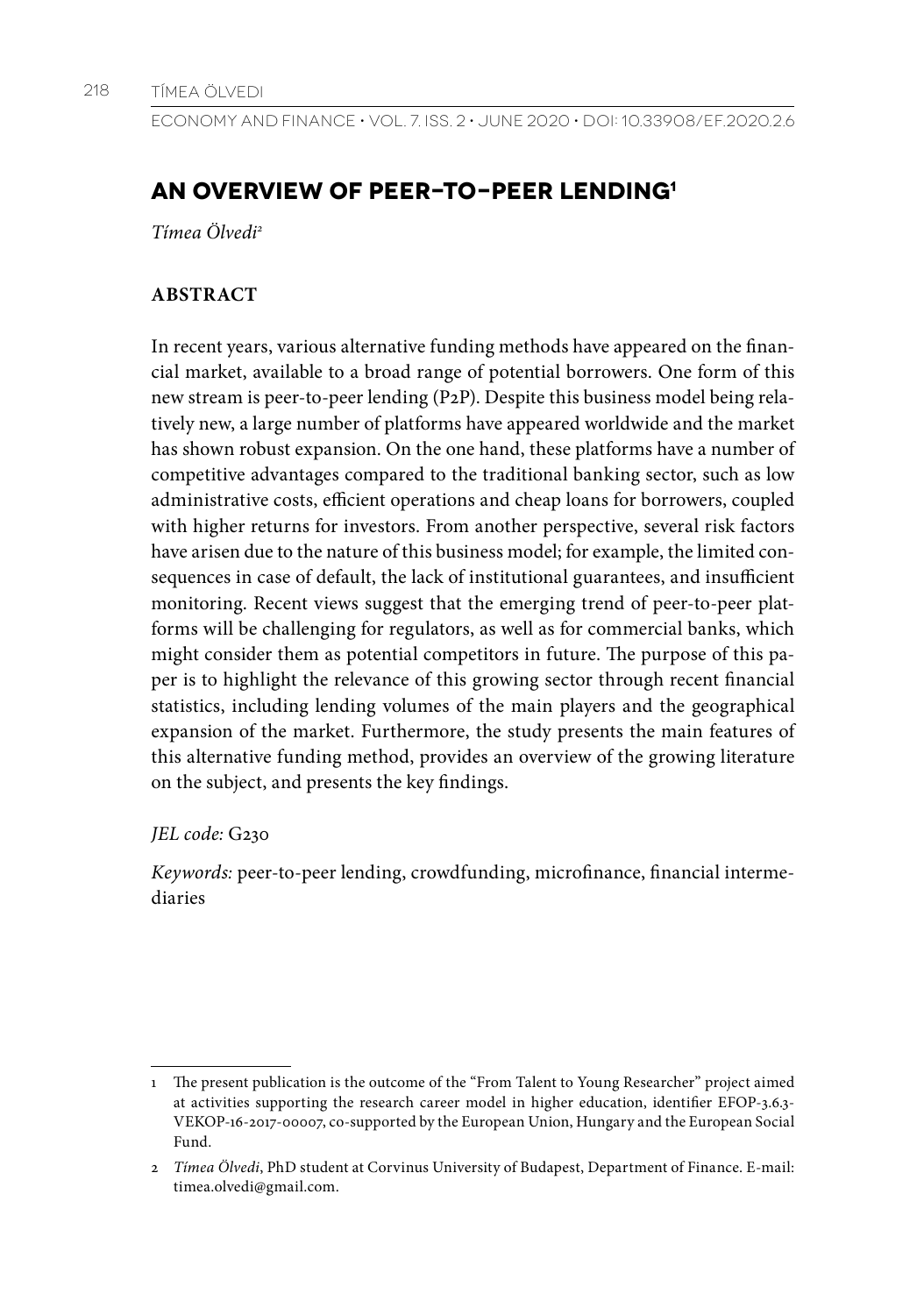Economy and Finance • Vol. 7. Iss. 2 • June 2020 • DOI: 10.33908/EF.2020.2.6

# **AN OVERVIEW OF PEER-TO-PEER LENDING1**

*Tímea Ölvedi2*

## **ABSTRACT**

In recent years, various alternative funding methods have appeared on the financial market, available to a broad range of potential borrowers. One form of this new stream is peer-to-peer lending (P2P). Despite this business model being relatively new, a large number of platforms have appeared worldwide and the market has shown robust expansion. On the one hand, these platforms have a number of competitive advantages compared to the traditional banking sector, such as low administrative costs, efficient operations and cheap loans for borrowers, coupled with higher returns for investors. From another perspective, several risk factors have arisen due to the nature of this business model; for example, the limited consequences in case of default, the lack of institutional guarantees, and insufficient monitoring. Recent views suggest that the emerging trend of peer-to-peer platforms will be challenging for regulators, as well as for commercial banks, which might consider them as potential competitors in future. The purpose of this paper is to highlight the relevance of this growing sector through recent financial statistics, including lending volumes of the main players and the geographical expansion of the market. Furthermore, the study presents the main features of this alternative funding method, provides an overview of the growing literature on the subject, and presents the key findings.

## *JEL code:* G230

*Keywords:* peer-to-peer lending, crowdfunding, microfinance, financial intermediaries

<sup>1</sup> The present publication is the outcome of the "From Talent to Young Researcher" project aimed at activities supporting the research career model in higher education, identifier EFOP-3.6.3- VEKOP-16-2017-00007, co-supported by the European Union, Hungary and the European Social Fund.

<sup>2</sup> *Tímea Ölvedi*, PhD student at Corvinus University of Budapest, Department of Finance. E-mail: timea.olvedi@gmail.com.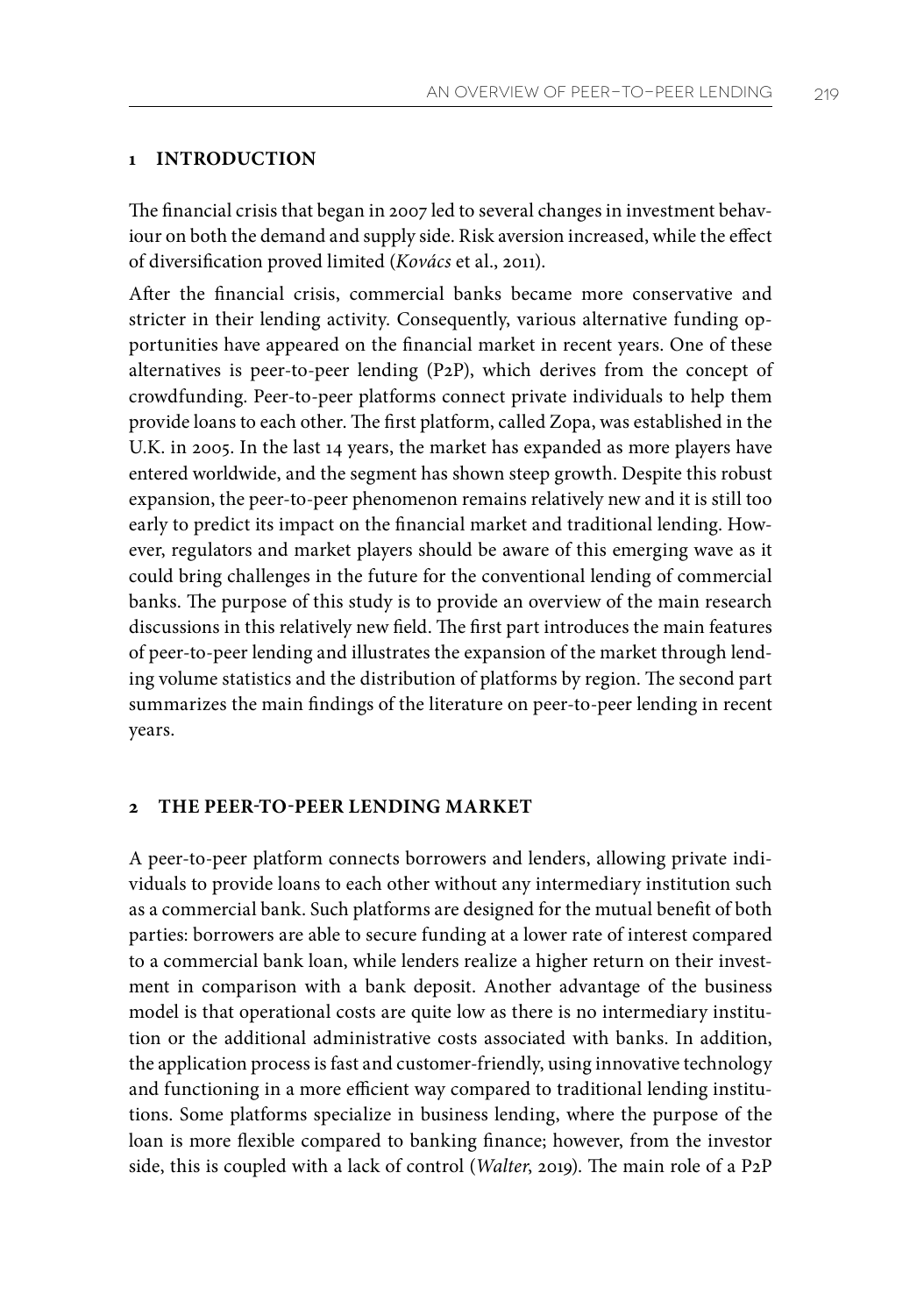## **1 INTRODUCTION**

The financial crisis that began in 2007 led to several changes in investment behaviour on both the demand and supply side. Risk aversion increased, while the effect of diversification proved limited (*Kovács* et al., 2011).

After the financial crisis, commercial banks became more conservative and stricter in their lending activity. Consequently, various alternative funding opportunities have appeared on the financial market in recent years. One of these alternatives is peer-to-peer lending (P2P), which derives from the concept of crowdfunding. Peer-to-peer platforms connect private individuals to help them provide loans to each other. The first platform, called Zopa, was established in the U.K. in 2005. In the last 14 years, the market has expanded as more players have entered worldwide, and the segment has shown steep growth. Despite this robust expansion, the peer-to-peer phenomenon remains relatively new and it is still too early to predict its impact on the financial market and traditional lending. However, regulators and market players should be aware of this emerging wave as it could bring challenges in the future for the conventional lending of commercial banks. The purpose of this study is to provide an overview of the main research discussions in this relatively new field. The first part introduces the main features of peer-to-peer lending and illustrates the expansion of the market through lending volume statistics and the distribution of platforms by region. The second part summarizes the main findings of the literature on peer-to-peer lending in recent years.

## **2 THE PEER-TO-PEER LENDING MARKET**

A peer-to-peer platform connects borrowers and lenders, allowing private individuals to provide loans to each other without any intermediary institution such as a commercial bank. Such platforms are designed for the mutual benefit of both parties: borrowers are able to secure funding at a lower rate of interest compared to a commercial bank loan, while lenders realize a higher return on their investment in comparison with a bank deposit. Another advantage of the business model is that operational costs are quite low as there is no intermediary institution or the additional administrative costs associated with banks. In addition, the application process is fast and customer-friendly, using innovative technology and functioning in a more efficient way compared to traditional lending institutions. Some platforms specialize in business lending, where the purpose of the loan is more flexible compared to banking finance; however, from the investor side, this is coupled with a lack of control (*Walter*, 2019). The main role of a P2P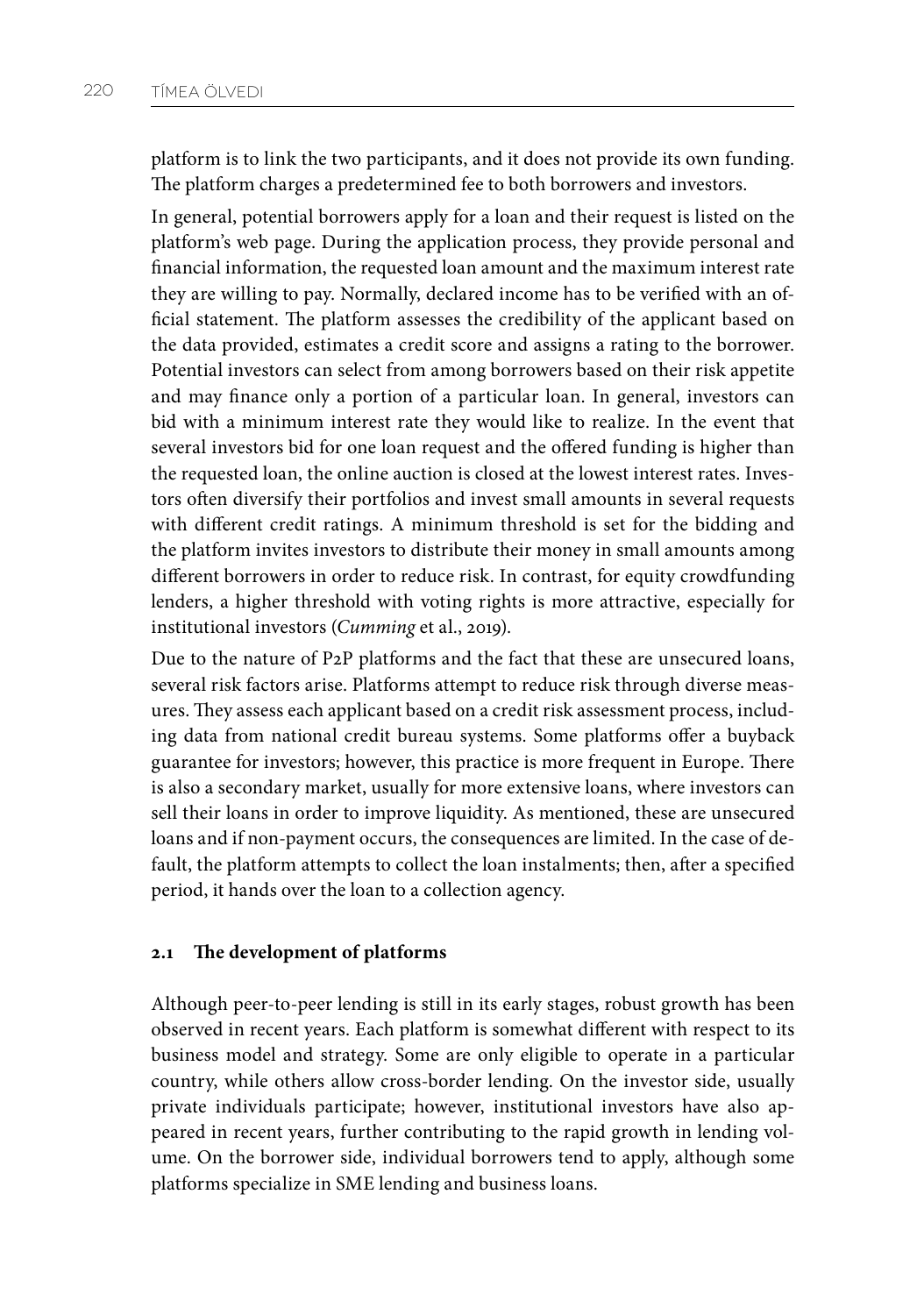platform is to link the two participants, and it does not provide its own funding. The platform charges a predetermined fee to both borrowers and investors.

In general, potential borrowers apply for a loan and their request is listed on the platform's web page. During the application process, they provide personal and financial information, the requested loan amount and the maximum interest rate they are willing to pay. Normally, declared income has to be verified with an official statement. The platform assesses the credibility of the applicant based on the data provided, estimates a credit score and assigns a rating to the borrower. Potential investors can select from among borrowers based on their risk appetite and may finance only a portion of a particular loan. In general, investors can bid with a minimum interest rate they would like to realize. In the event that several investors bid for one loan request and the offered funding is higher than the requested loan, the online auction is closed at the lowest interest rates. Investors often diversify their portfolios and invest small amounts in several requests with different credit ratings. A minimum threshold is set for the bidding and the platform invites investors to distribute their money in small amounts among different borrowers in order to reduce risk. In contrast, for equity crowdfunding lenders, a higher threshold with voting rights is more attractive, especially for institutional investors (*Cumming* et al., 2019).

Due to the nature of P2P platforms and the fact that these are unsecured loans, several risk factors arise. Platforms attempt to reduce risk through diverse measures. They assess each applicant based on a credit risk assessment process, including data from national credit bureau systems. Some platforms offer a buyback guarantee for investors; however, this practice is more frequent in Europe. There is also a secondary market, usually for more extensive loans, where investors can sell their loans in order to improve liquidity. As mentioned, these are unsecured loans and if non-payment occurs, the consequences are limited. In the case of default, the platform attempts to collect the loan instalments; then, after a specified period, it hands over the loan to a collection agency.

## **2.1 The development of platforms**

Although peer-to-peer lending is still in its early stages, robust growth has been observed in recent years. Each platform is somewhat different with respect to its business model and strategy. Some are only eligible to operate in a particular country, while others allow cross-border lending. On the investor side, usually private individuals participate; however, institutional investors have also appeared in recent years, further contributing to the rapid growth in lending volume. On the borrower side, individual borrowers tend to apply, although some platforms specialize in SME lending and business loans.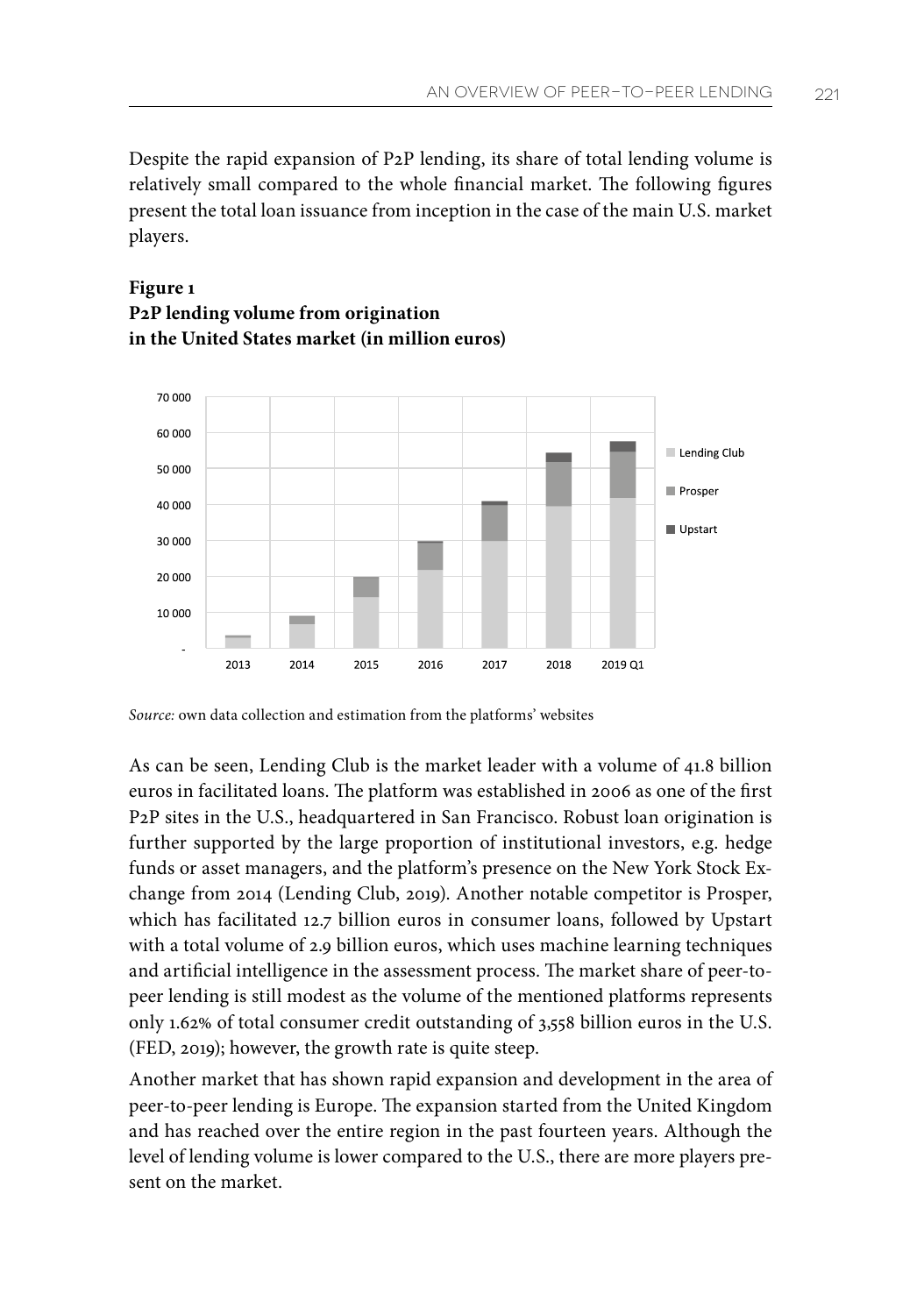Despite the rapid expansion of P2P lending, its share of total lending volume is relatively small compared to the whole financial market. The following figures present the total loan issuance from inception in the case of the main U.S. market players.

## **Figure 1 P2P lending volume from origination in the United States market (in million euros)**



*Source:* own data collection and estimation from the platforms' websites

As can be seen, Lending Club is the market leader with a volume of 41.8 billion euros in facilitated loans. The platform was established in 2006 as one of the first P2P sites in the U.S., headquartered in San Francisco. Robust loan origination is further supported by the large proportion of institutional investors, e.g. hedge funds or asset managers, and the platform's presence on the New York Stock Exchange from 2014 (Lending Club, 2019). Another notable competitor is Prosper, which has facilitated 12.7 billion euros in consumer loans, followed by Upstart with a total volume of 2.9 billion euros, which uses machine learning techniques and artificial intelligence in the assessment process. The market share of peer-topeer lending is still modest as the volume of the mentioned platforms represents only 1.62% of total consumer credit outstanding of 3,558 billion euros in the U.S. (FED, 2019); however, the growth rate is quite steep.

Another market that has shown rapid expansion and development in the area of peer-to-peer lending is Europe. The expansion started from the United Kingdom and has reached over the entire region in the past fourteen years. Although the level of lending volume is lower compared to the U.S., there are more players present on the market.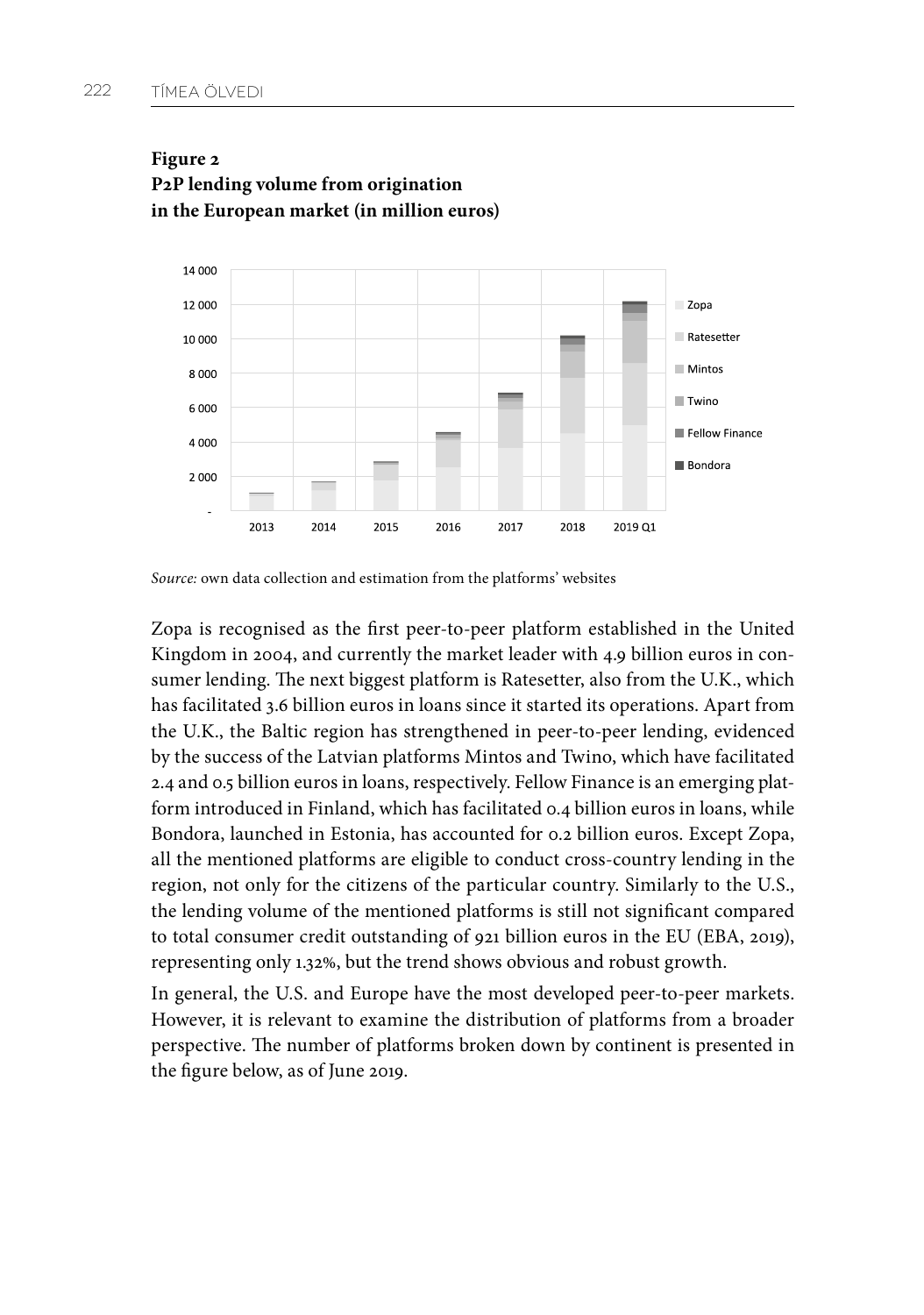

## **Figure 2 P2P lending volume from origination in the European market (in million euros)**

*Source:* own data collection and estimation from the platforms' websites

Zopa is recognised as the first peer-to-peer platform established in the United Kingdom in 2004, and currently the market leader with 4.9 billion euros in consumer lending. The next biggest platform is Ratesetter, also from the U.K., which has facilitated 3.6 billion euros in loans since it started its operations. Apart from the U.K., the Baltic region has strengthened in peer-to-peer lending, evidenced by the success of the Latvian platforms Mintos and Twino, which have facilitated 2.4 and 0.5 billion euros in loans, respectively. Fellow Finance is an emerging platform introduced in Finland, which has facilitated 0.4 billion euros in loans, while Bondora, launched in Estonia, has accounted for 0.2 billion euros. Except Zopa, all the mentioned platforms are eligible to conduct cross-country lending in the region, not only for the citizens of the particular country. Similarly to the U.S., the lending volume of the mentioned platforms is still not significant compared to total consumer credit outstanding of 921 billion euros in the EU (EBA, 2019), representing only 1.32%, but the trend shows obvious and robust growth.

In general, the U.S. and Europe have the most developed peer-to-peer markets. However, it is relevant to examine the distribution of platforms from a broader perspective. The number of platforms broken down by continent is presented in the figure below, as of June 2019.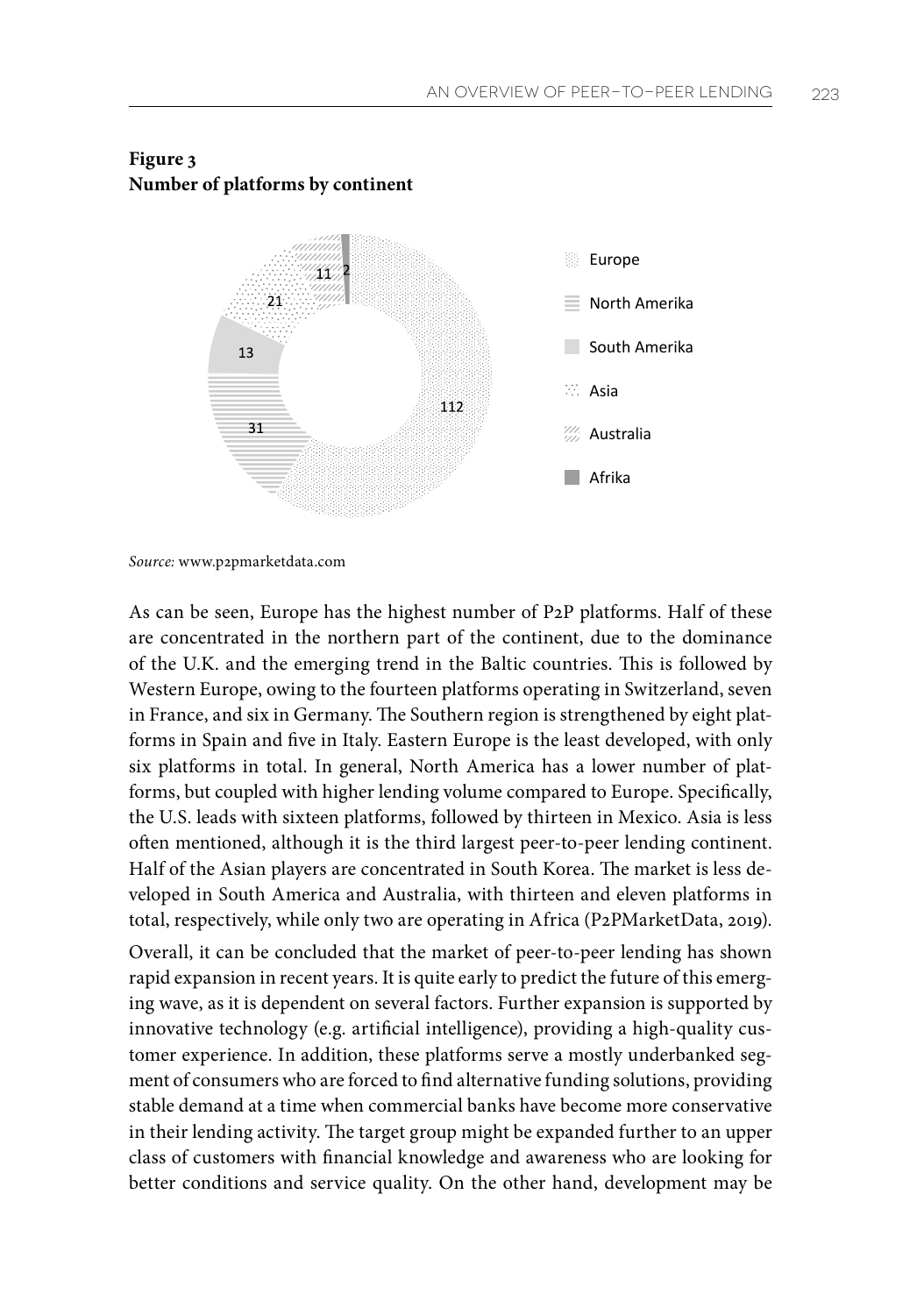

## **Figure 3 Number of platforms by continent**

*Source:* www.p2pmarketdata.com

As can be seen, Europe has the highest number of P2P platforms. Half of these are concentrated in the northern part of the continent, due to the dominance of the U.K. and the emerging trend in the Baltic countries. This is followed by Western Europe, owing to the fourteen platforms operating in Switzerland, seven in France, and six in Germany. The Southern region is strengthened by eight platforms in Spain and five in Italy. Eastern Europe is the least developed, with only six platforms in total. In general, North America has a lower number of platforms, but coupled with higher lending volume compared to Europe. Specifically, the U.S. leads with sixteen platforms, followed by thirteen in Mexico. Asia is less often mentioned, although it is the third largest peer-to-peer lending continent. Half of the Asian players are concentrated in South Korea. The market is less developed in South America and Australia, with thirteen and eleven platforms in total, respectively, while only two are operating in Africa (P2PMarketData, 2019).

Overall, it can be concluded that the market of peer-to-peer lending has shown rapid expansion in recent years. It is quite early to predict the future of this emerging wave, as it is dependent on several factors. Further expansion is supported by innovative technology (e.g. artificial intelligence), providing a high-quality customer experience. In addition, these platforms serve a mostly underbanked segment of consumers who are forced to find alternative funding solutions, providing stable demand at a time when commercial banks have become more conservative in their lending activity. The target group might be expanded further to an upper class of customers with financial knowledge and awareness who are looking for better conditions and service quality. On the other hand, development may be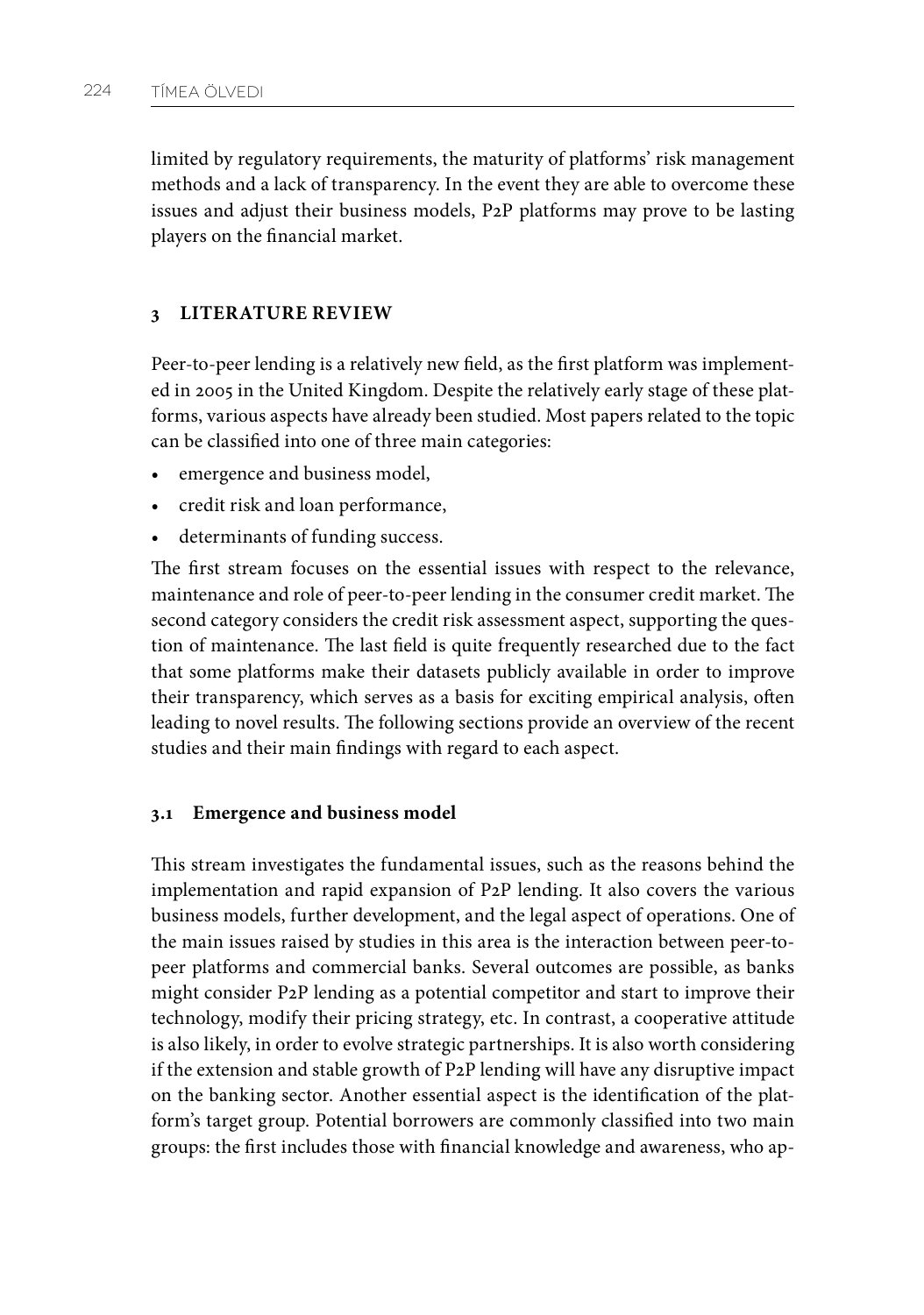limited by regulatory requirements, the maturity of platforms' risk management methods and a lack of transparency. In the event they are able to overcome these issues and adjust their business models, P2P platforms may prove to be lasting players on the financial market.

## **3 LITERATURE REVIEW**

Peer-to-peer lending is a relatively new field, as the first platform was implemented in 2005 in the United Kingdom. Despite the relatively early stage of these platforms, various aspects have already been studied. Most papers related to the topic can be classified into one of three main categories:

- emergence and business model,
- credit risk and loan performance,
- determinants of funding success.

The first stream focuses on the essential issues with respect to the relevance, maintenance and role of peer-to-peer lending in the consumer credit market. The second category considers the credit risk assessment aspect, supporting the question of maintenance. The last field is quite frequently researched due to the fact that some platforms make their datasets publicly available in order to improve their transparency, which serves as a basis for exciting empirical analysis, often leading to novel results. The following sections provide an overview of the recent studies and their main findings with regard to each aspect.

#### **3.1 Emergence and business model**

This stream investigates the fundamental issues, such as the reasons behind the implementation and rapid expansion of P2P lending. It also covers the various business models, further development, and the legal aspect of operations. One of the main issues raised by studies in this area is the interaction between peer-topeer platforms and commercial banks. Several outcomes are possible, as banks might consider P2P lending as a potential competitor and start to improve their technology, modify their pricing strategy, etc. In contrast, a cooperative attitude is also likely, in order to evolve strategic partnerships. It is also worth considering if the extension and stable growth of P2P lending will have any disruptive impact on the banking sector. Another essential aspect is the identification of the platform's target group. Potential borrowers are commonly classified into two main groups: the first includes those with financial knowledge and awareness, who ap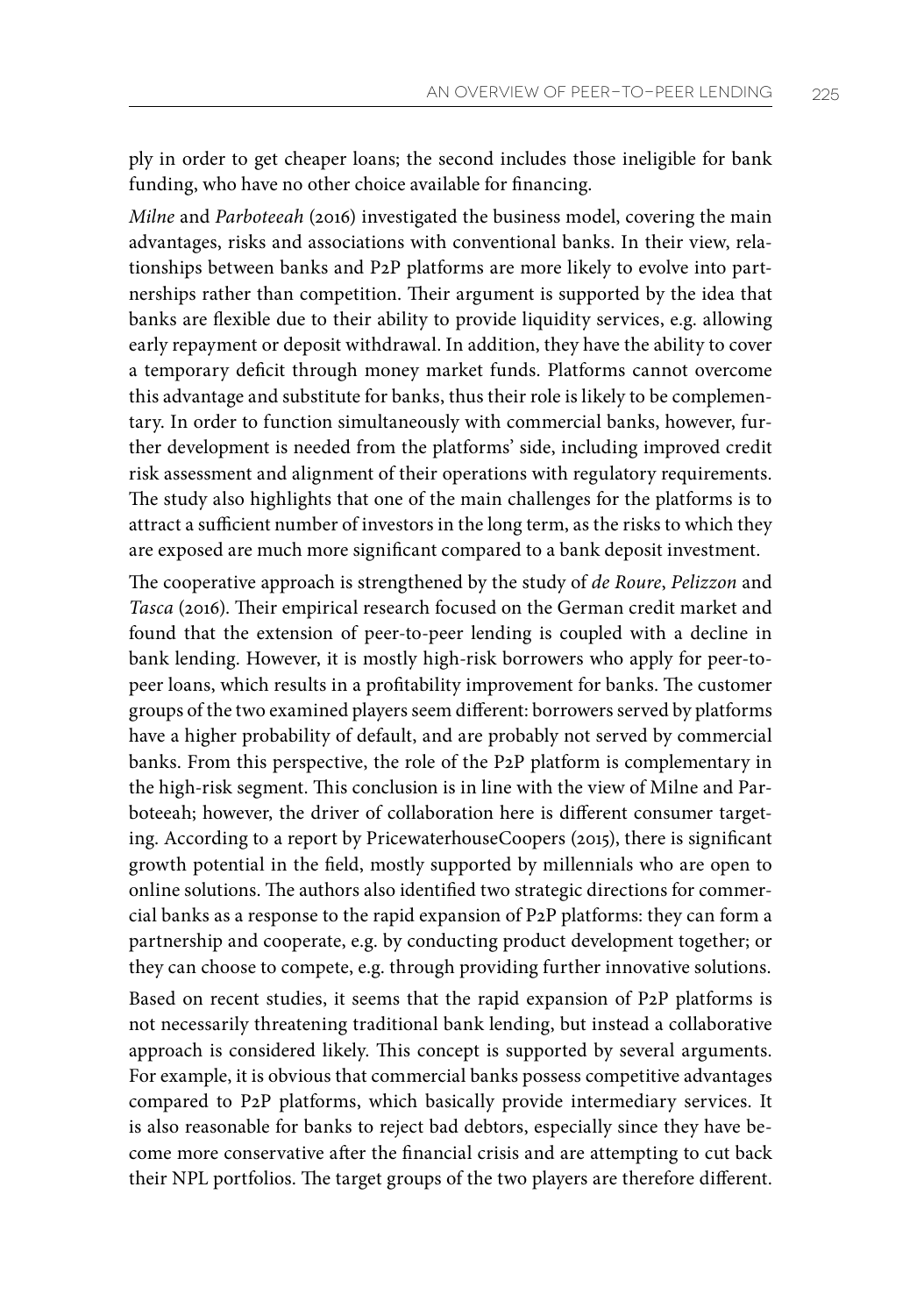ply in order to get cheaper loans; the second includes those ineligible for bank funding, who have no other choice available for financing.

*Milne* and *Parboteeah* (2016) investigated the business model, covering the main advantages, risks and associations with conventional banks. In their view, relationships between banks and P2P platforms are more likely to evolve into partnerships rather than competition. Their argument is supported by the idea that banks are flexible due to their ability to provide liquidity services, e.g. allowing early repayment or deposit withdrawal. In addition, they have the ability to cover a temporary deficit through money market funds. Platforms cannot overcome this advantage and substitute for banks, thus their role is likely to be complementary. In order to function simultaneously with commercial banks, however, further development is needed from the platforms' side, including improved credit risk assessment and alignment of their operations with regulatory requirements. The study also highlights that one of the main challenges for the platforms is to attract a sufficient number of investors in the long term, as the risks to which they are exposed are much more significant compared to a bank deposit investment.

The cooperative approach is strengthened by the study of *de Roure*, *Pelizzon* and *Tasca* (2016). Their empirical research focused on the German credit market and found that the extension of peer-to-peer lending is coupled with a decline in bank lending. However, it is mostly high-risk borrowers who apply for peer-topeer loans, which results in a profitability improvement for banks. The customer groups of the two examined players seem different: borrowers served by platforms have a higher probability of default, and are probably not served by commercial banks. From this perspective, the role of the P2P platform is complementary in the high-risk segment. This conclusion is in line with the view of Milne and Parboteeah; however, the driver of collaboration here is different consumer targeting. According to a report by PricewaterhouseCoopers (2015), there is significant growth potential in the field, mostly supported by millennials who are open to online solutions. The authors also identified two strategic directions for commercial banks as a response to the rapid expansion of P2P platforms: they can form a partnership and cooperate, e.g. by conducting product development together; or they can choose to compete, e.g. through providing further innovative solutions.

Based on recent studies, it seems that the rapid expansion of P2P platforms is not necessarily threatening traditional bank lending, but instead a collaborative approach is considered likely. This concept is supported by several arguments. For example, it is obvious that commercial banks possess competitive advantages compared to P2P platforms, which basically provide intermediary services. It is also reasonable for banks to reject bad debtors, especially since they have become more conservative after the financial crisis and are attempting to cut back their NPL portfolios. The target groups of the two players are therefore different.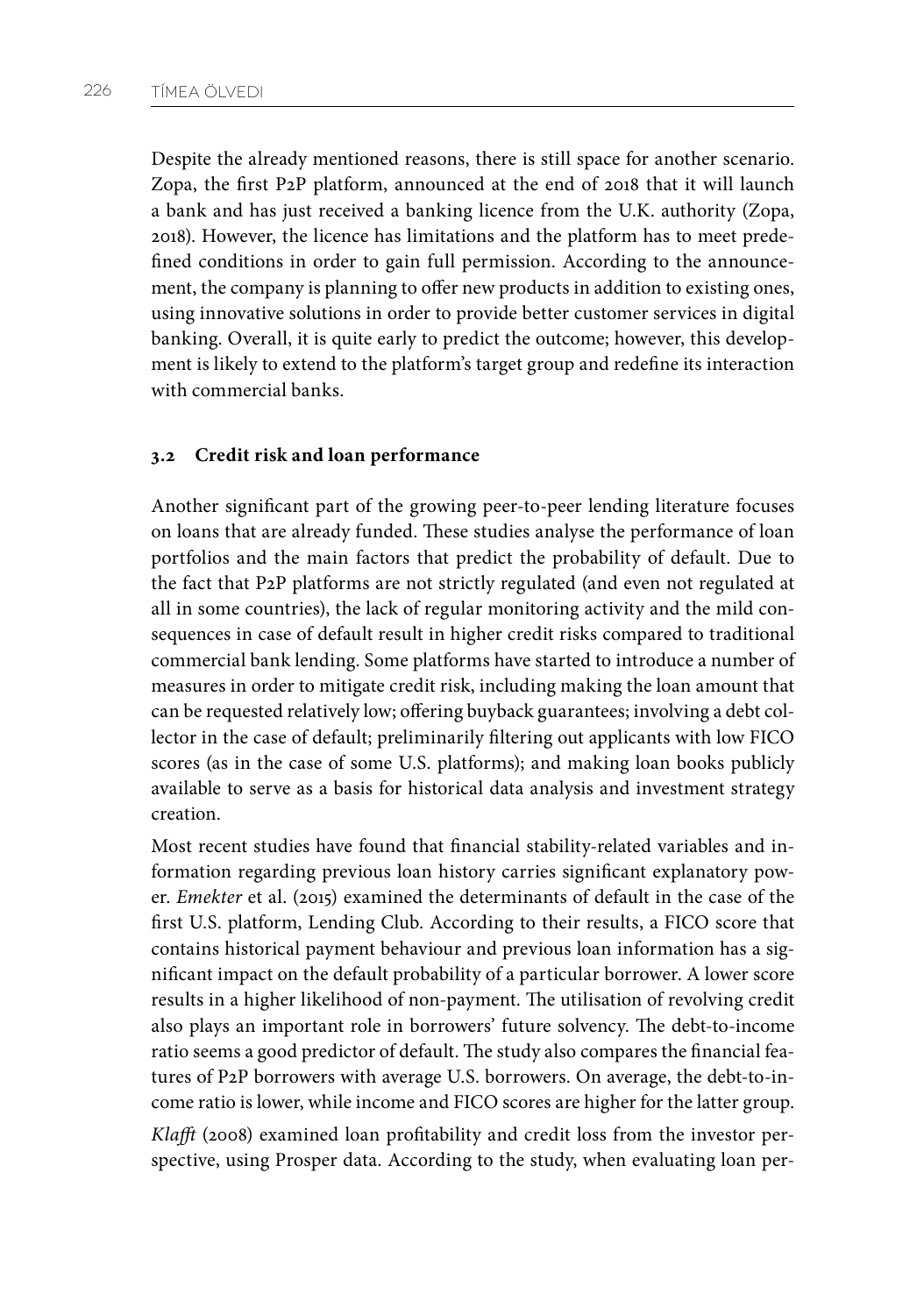Despite the already mentioned reasons, there is still space for another scenario. Zopa, the first P2P platform, announced at the end of 2018 that it will launch a bank and has just received a banking licence from the U.K. authority (Zopa, 2018). However, the licence has limitations and the platform has to meet predefined conditions in order to gain full permission. According to the announcement, the company is planning to offer new products in addition to existing ones, using innovative solutions in order to provide better customer services in digital banking. Overall, it is quite early to predict the outcome; however, this development is likely to extend to the platform's target group and redefine its interaction with commercial banks.

#### **3.2 Credit risk and loan performance**

Another significant part of the growing peer-to-peer lending literature focuses on loans that are already funded. These studies analyse the performance of loan portfolios and the main factors that predict the probability of default. Due to the fact that P2P platforms are not strictly regulated (and even not regulated at all in some countries), the lack of regular monitoring activity and the mild consequences in case of default result in higher credit risks compared to traditional commercial bank lending. Some platforms have started to introduce a number of measures in order to mitigate credit risk, including making the loan amount that can be requested relatively low; offering buyback guarantees; involving a debt collector in the case of default; preliminarily filtering out applicants with low FICO scores (as in the case of some U.S. platforms); and making loan books publicly available to serve as a basis for historical data analysis and investment strategy creation.

Most recent studies have found that financial stability-related variables and information regarding previous loan history carries significant explanatory power. *Emekter* et al. (2015) examined the determinants of default in the case of the first U.S. platform, Lending Club. According to their results, a FICO score that contains historical payment behaviour and previous loan information has a significant impact on the default probability of a particular borrower. A lower score results in a higher likelihood of non-payment. The utilisation of revolving credit also plays an important role in borrowers' future solvency. The debt-to-income ratio seems a good predictor of default. The study also compares the financial features of P2P borrowers with average U.S. borrowers. On average, the debt-to-income ratio is lower, while income and FICO scores are higher for the latter group. *Klafft* (2008) examined loan profitability and credit loss from the investor perspective, using Prosper data. According to the study, when evaluating loan per-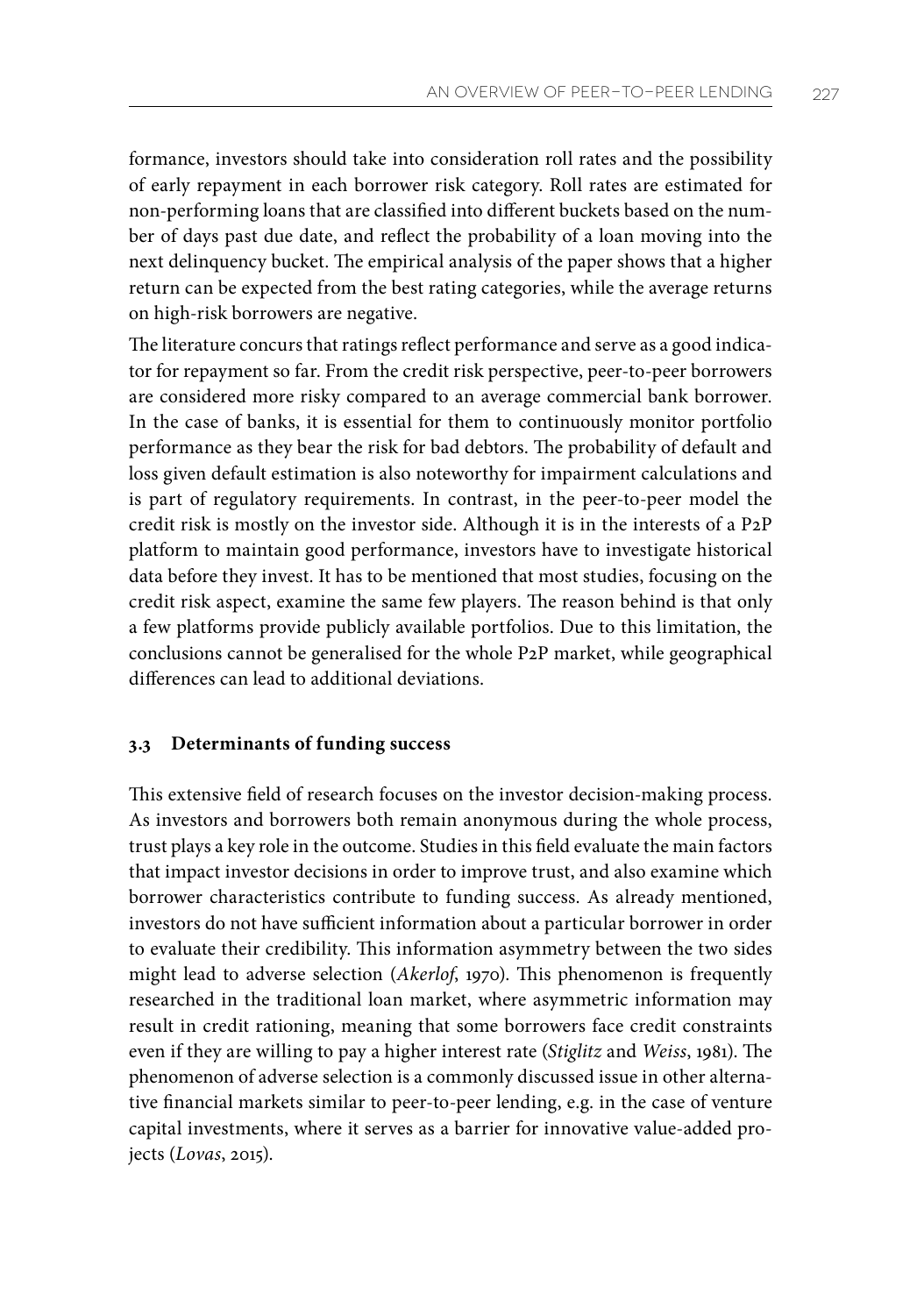formance, investors should take into consideration roll rates and the possibility of early repayment in each borrower risk category. Roll rates are estimated for non-performing loans that are classified into different buckets based on the number of days past due date, and reflect the probability of a loan moving into the next delinquency bucket. The empirical analysis of the paper shows that a higher return can be expected from the best rating categories, while the average returns on high-risk borrowers are negative.

The literature concurs that ratings reflect performance and serve as a good indicator for repayment so far. From the credit risk perspective, peer-to-peer borrowers are considered more risky compared to an average commercial bank borrower. In the case of banks, it is essential for them to continuously monitor portfolio performance as they bear the risk for bad debtors. The probability of default and loss given default estimation is also noteworthy for impairment calculations and is part of regulatory requirements. In contrast, in the peer-to-peer model the credit risk is mostly on the investor side. Although it is in the interests of a P2P platform to maintain good performance, investors have to investigate historical data before they invest. It has to be mentioned that most studies, focusing on the credit risk aspect, examine the same few players. The reason behind is that only a few platforms provide publicly available portfolios. Due to this limitation, the conclusions cannot be generalised for the whole P2P market, while geographical differences can lead to additional deviations.

## **3.3 Determinants of funding success**

This extensive field of research focuses on the investor decision-making process. As investors and borrowers both remain anonymous during the whole process, trust plays a key role in the outcome. Studies in this field evaluate the main factors that impact investor decisions in order to improve trust, and also examine which borrower characteristics contribute to funding success. As already mentioned, investors do not have sufficient information about a particular borrower in order to evaluate their credibility. This information asymmetry between the two sides might lead to adverse selection (*Akerlof*, 1970). This phenomenon is frequently researched in the traditional loan market, where asymmetric information may result in credit rationing, meaning that some borrowers face credit constraints even if they are willing to pay a higher interest rate (*Stiglitz* and *Weiss*, 1981). The phenomenon of adverse selection is a commonly discussed issue in other alternative financial markets similar to peer-to-peer lending, e.g. in the case of venture capital investments, where it serves as a barrier for innovative value-added projects (*Lovas*, 2015).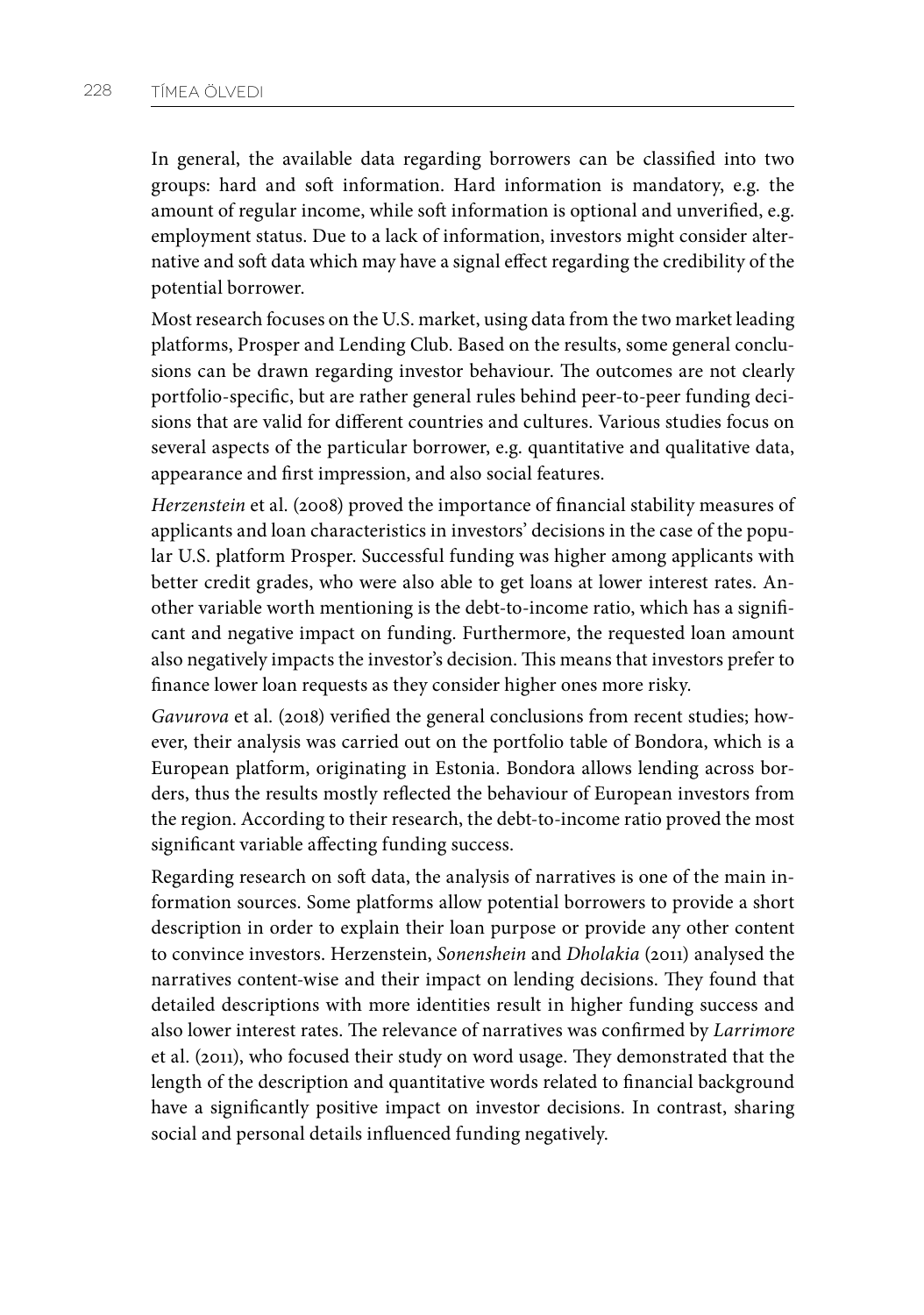In general, the available data regarding borrowers can be classified into two groups: hard and soft information. Hard information is mandatory, e.g. the amount of regular income, while soft information is optional and unverified, e.g. employment status. Due to a lack of information, investors might consider alternative and soft data which may have a signal effect regarding the credibility of the potential borrower.

Most research focuses on the U.S. market, using data from the two market leading platforms, Prosper and Lending Club. Based on the results, some general conclusions can be drawn regarding investor behaviour. The outcomes are not clearly portfolio-specific, but are rather general rules behind peer-to-peer funding decisions that are valid for different countries and cultures. Various studies focus on several aspects of the particular borrower, e.g. quantitative and qualitative data, appearance and first impression, and also social features.

*Herzenstein* et al. (2008) proved the importance of financial stability measures of applicants and loan characteristics in investors' decisions in the case of the popular U.S. platform Prosper. Successful funding was higher among applicants with better credit grades, who were also able to get loans at lower interest rates. Another variable worth mentioning is the debt-to-income ratio, which has a significant and negative impact on funding. Furthermore, the requested loan amount also negatively impacts the investor's decision. This means that investors prefer to finance lower loan requests as they consider higher ones more risky.

*Gavurova* et al. (2018) verified the general conclusions from recent studies; however, their analysis was carried out on the portfolio table of Bondora, which is a European platform, originating in Estonia. Bondora allows lending across borders, thus the results mostly reflected the behaviour of European investors from the region. According to their research, the debt-to-income ratio proved the most significant variable affecting funding success.

Regarding research on soft data, the analysis of narratives is one of the main information sources. Some platforms allow potential borrowers to provide a short description in order to explain their loan purpose or provide any other content to convince investors. Herzenstein, *Sonenshein* and *Dholakia* (2011) analysed the narratives content-wise and their impact on lending decisions. They found that detailed descriptions with more identities result in higher funding success and also lower interest rates. The relevance of narratives was confirmed by *Larrimore* et al. (2011), who focused their study on word usage. They demonstrated that the length of the description and quantitative words related to financial background have a significantly positive impact on investor decisions. In contrast, sharing social and personal details influenced funding negatively.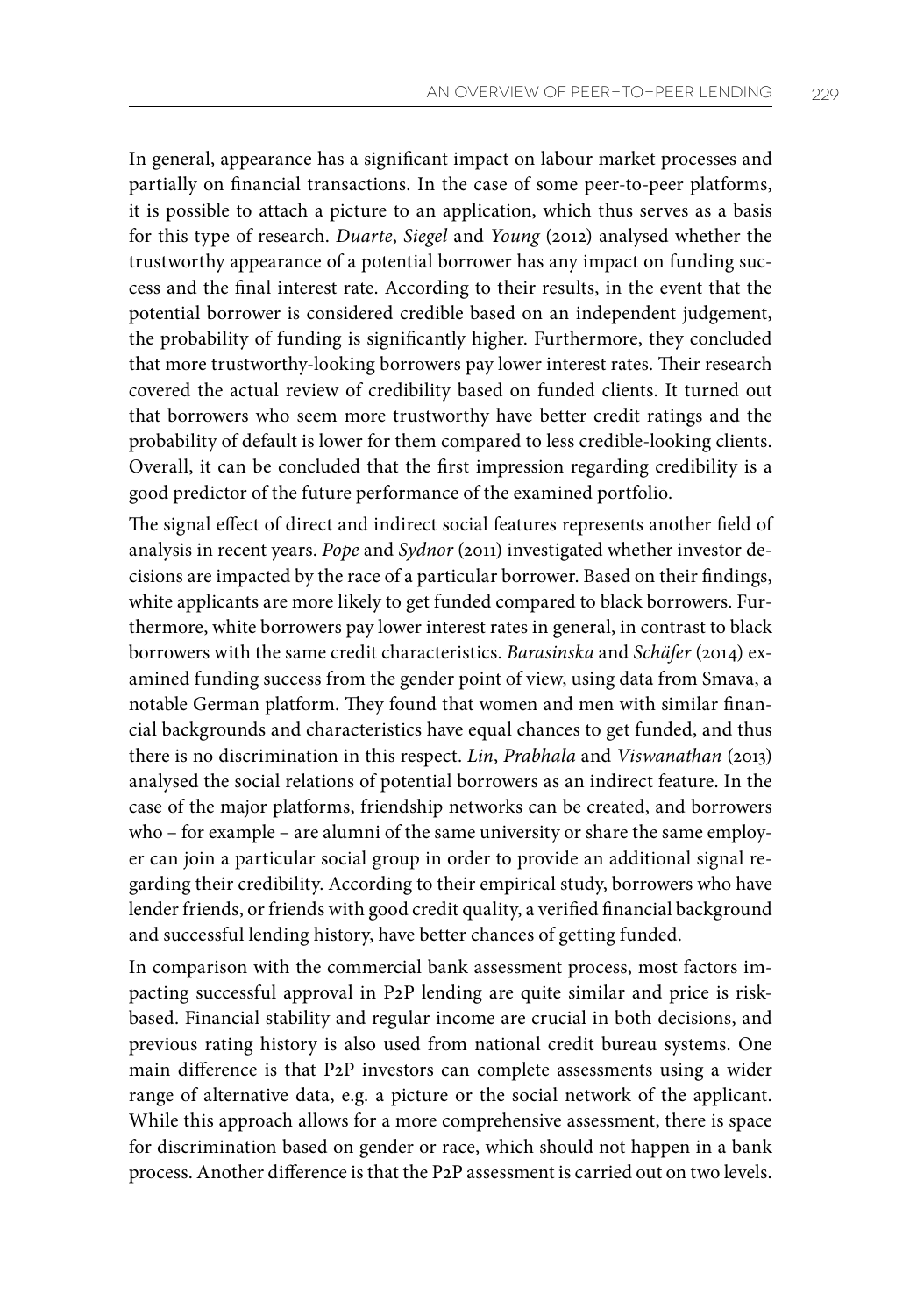In general, appearance has a significant impact on labour market processes and partially on financial transactions. In the case of some peer-to-peer platforms, it is possible to attach a picture to an application, which thus serves as a basis for this type of research. *Duarte*, *Siegel* and *Young* (2012) analysed whether the trustworthy appearance of a potential borrower has any impact on funding success and the final interest rate. According to their results, in the event that the potential borrower is considered credible based on an independent judgement, the probability of funding is significantly higher. Furthermore, they concluded that more trustworthy-looking borrowers pay lower interest rates. Their research covered the actual review of credibility based on funded clients. It turned out that borrowers who seem more trustworthy have better credit ratings and the probability of default is lower for them compared to less credible-looking clients. Overall, it can be concluded that the first impression regarding credibility is a good predictor of the future performance of the examined portfolio.

The signal effect of direct and indirect social features represents another field of analysis in recent years. *Pope* and *Sydnor* (2011) investigated whether investor decisions are impacted by the race of a particular borrower. Based on their findings, white applicants are more likely to get funded compared to black borrowers. Furthermore, white borrowers pay lower interest rates in general, in contrast to black borrowers with the same credit characteristics. *Barasinska* and *Schäfer* (2014) examined funding success from the gender point of view, using data from Smava, a notable German platform. They found that women and men with similar financial backgrounds and characteristics have equal chances to get funded, and thus there is no discrimination in this respect. *Lin*, *Prabhala* and *Viswanathan* (2013) analysed the social relations of potential borrowers as an indirect feature. In the case of the major platforms, friendship networks can be created, and borrowers who – for example – are alumni of the same university or share the same employer can join a particular social group in order to provide an additional signal regarding their credibility. According to their empirical study, borrowers who have lender friends, or friends with good credit quality, a verified financial background and successful lending history, have better chances of getting funded.

In comparison with the commercial bank assessment process, most factors impacting successful approval in P2P lending are quite similar and price is riskbased. Financial stability and regular income are crucial in both decisions, and previous rating history is also used from national credit bureau systems. One main difference is that P2P investors can complete assessments using a wider range of alternative data, e.g. a picture or the social network of the applicant. While this approach allows for a more comprehensive assessment, there is space for discrimination based on gender or race, which should not happen in a bank process. Another difference is that the P2P assessment is carried out on two levels.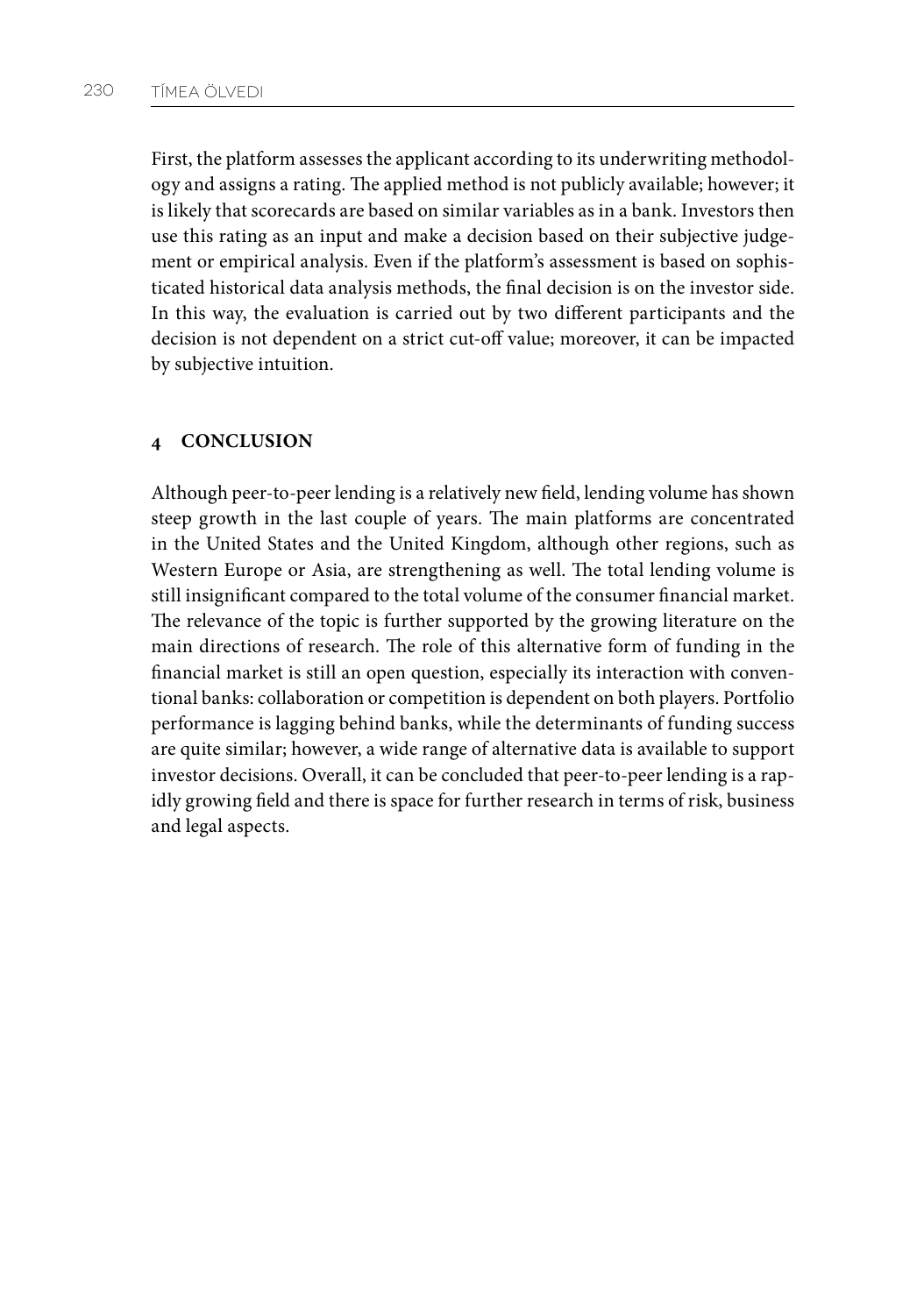First, the platform assesses the applicant according to its underwriting methodology and assigns a rating. The applied method is not publicly available; however; it is likely that scorecards are based on similar variables as in a bank. Investors then use this rating as an input and make a decision based on their subjective judgement or empirical analysis. Even if the platform's assessment is based on sophisticated historical data analysis methods, the final decision is on the investor side. In this way, the evaluation is carried out by two different participants and the decision is not dependent on a strict cut-off value; moreover, it can be impacted by subjective intuition.

## **4 CONCLUSION**

Although peer-to-peer lending is a relatively new field, lending volume has shown steep growth in the last couple of years. The main platforms are concentrated in the United States and the United Kingdom, although other regions, such as Western Europe or Asia, are strengthening as well. The total lending volume is still insignificant compared to the total volume of the consumer financial market. The relevance of the topic is further supported by the growing literature on the main directions of research. The role of this alternative form of funding in the financial market is still an open question, especially its interaction with conventional banks: collaboration or competition is dependent on both players. Portfolio performance is lagging behind banks, while the determinants of funding success are quite similar; however, a wide range of alternative data is available to support investor decisions. Overall, it can be concluded that peer-to-peer lending is a rapidly growing field and there is space for further research in terms of risk, business and legal aspects.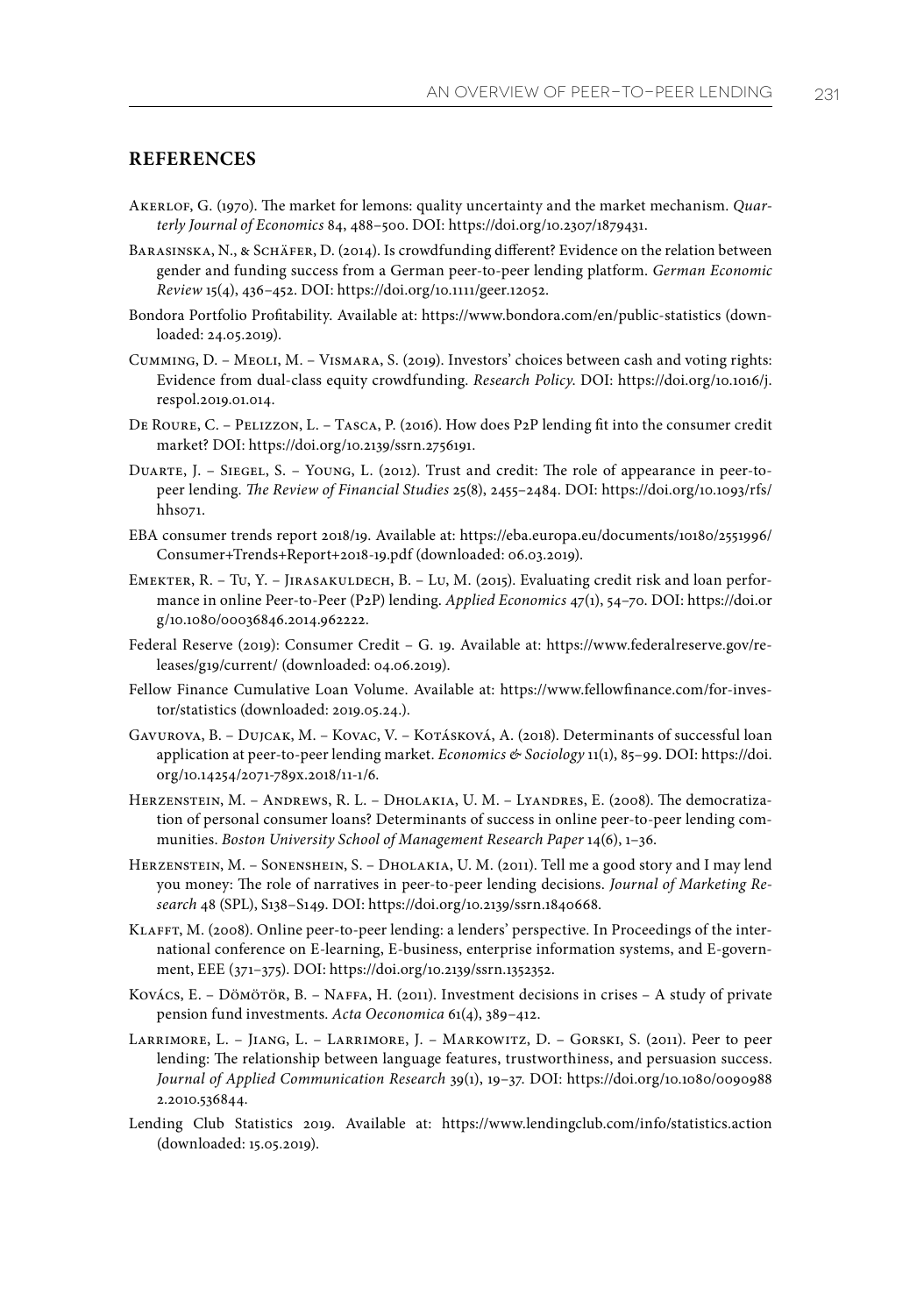## **REFERENCES**

- Akerlof, G. (1970). The market for lemons: quality uncertainty and the market mechanism. *Quarterly Journal of Economics* 84, 488–500. DOI: https://doi.org/10.2307/1879431.
- BARASINSKA, N., & SCHÄFER, D. (2014). Is crowdfunding different? Evidence on the relation between gender and funding success from a German peer‐to‐peer lending platform. *German Economic Review* 15(4), 436–452. DOI: https://doi.org/10.1111/geer.12052.
- Bondora Portfolio Profitability. Available at: https://www.bondora.com/en/public-statistics (downloaded: 24.05.2019).
- Cumming, D. Meoli, M. Vismara, S. (2019). Investors' choices between cash and voting rights: Evidence from dual-class equity crowdfunding. *Research Policy*. DOI: https://doi.org/10.1016/j. respol.2019.01.014.
- De Roure, C. Pelizzon, L. Tasca, P. (2016). How does P2P lending fit into the consumer credit market? DOI: https://doi.org/10.2139/ssrn.2756191.
- Duarte, J. Siegel, S. Young, L. (2012). Trust and credit: The role of appearance in peer-topeer lending. *The Review of Financial Studies* 25(8), 2455–2484. DOI: https://doi.org/10.1093/rfs/ hhs071.
- EBA consumer trends report 2018/19. Available at: https://eba.europa.eu/documents/10180/2551996/ Consumer+Trends+Report+2018-19.pdf (downloaded: 06.03.2019).
- EMEKTER, R. TU, Y. JIRASAKULDECH, B. LU, M. (2015). Evaluating credit risk and loan performance in online Peer-to-Peer (P2P) lending. *Applied Economics* 47(1), 54–70. DOI: https://doi.or g/10.1080/00036846.2014.962222.
- Federal Reserve (2019): Consumer Credit G. 19. Available at: https://www.federalreserve.gov/releases/g19/current/ (downloaded: 04.06.2019).
- Fellow Finance Cumulative Loan Volume. Available at: https://www.fellowfinance.com/for-investor/statistics (downloaded: 2019.05.24.).
- Gavurova, B. Dujcak, M. Kovac, V. Kotásková, A. (2018). Determinants of successful loan application at peer-to-peer lending market. *Economics & Sociology* 11(1), 85–99. DOI: https://doi. org/10.14254/2071-789x.2018/11-1/6.
- Herzenstein, M. Andrews, R. L. Dholakia, U. M. Lyandres, E. (2008). The democratization of personal consumer loans? Determinants of success in online peer-to-peer lending communities. *Boston University School of Management Research Paper* 14(6), 1–36.
- Herzenstein, M. Sonenshein, S. Dholakia, U. M. (2011). Tell me a good story and I may lend you money: The role of narratives in peer-to-peer lending decisions. *Journal of Marketing Research* 48 (SPL), S138–S149. DOI: https://doi.org/10.2139/ssrn.1840668.
- Klafft, M. (2008). Online peer-to-peer lending: a lenders' perspective. In Proceedings of the international conference on E-learning, E-business, enterprise information systems, and E-government, EEE (371–375). DOI: https://doi.org/10.2139/ssrn.1352352.
- Kovács, E. Dömörör, B. Naffa, H. (2011). Investment decisions in crises A study of private pension fund investments. *Acta Oeconomica* 61(4), 389–412.
- Larrimore, L. Jiang, L. Larrimore, J. Markowitz, D. Gorski, S. (2011). Peer to peer lending: The relationship between language features, trustworthiness, and persuasion success. *Journal of Applied Communication Research* 39(1), 19–37. DOI: https://doi.org/10.1080/0090988 2.2010.536844.
- Lending Club Statistics 2019. Available at: https://www.lendingclub.com/info/statistics.action (downloaded: 15.05.2019).